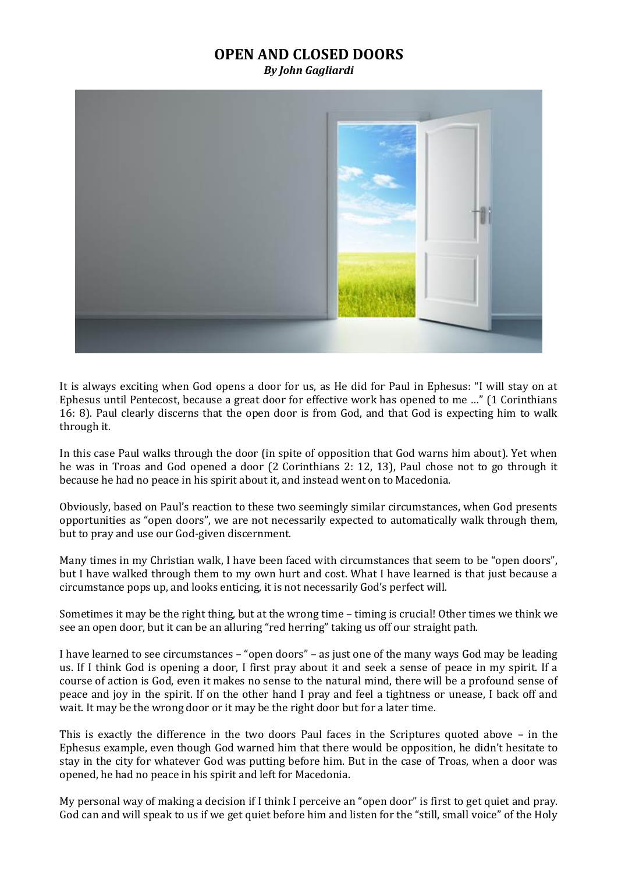## **OPEN AND CLOSED DOORS** *By John Gagliardi*



It is always exciting when God opens a door for us, as He did for Paul in Ephesus: "I will stay on at Ephesus until Pentecost, because a great door for effective work has opened to me …" (1 Corinthians 16: 8). Paul clearly discerns that the open door is from God, and that God is expecting him to walk through it.

In this case Paul walks through the door (in spite of opposition that God warns him about). Yet when he was in Troas and God opened a door (2 Corinthians 2: 12, 13), Paul chose not to go through it because he had no peace in his spirit about it, and instead went on to Macedonia.

Obviously, based on Paul's reaction to these two seemingly similar circumstances, when God presents opportunities as "open doors", we are not necessarily expected to automatically walk through them, but to pray and use our God-given discernment.

Many times in my Christian walk, I have been faced with circumstances that seem to be "open doors", but I have walked through them to my own hurt and cost. What I have learned is that just because a circumstance pops up, and looks enticing, it is not necessarily God's perfect will.

Sometimes it may be the right thing, but at the wrong time – timing is crucial! Other times we think we see an open door, but it can be an alluring "red herring" taking us off our straight path.

I have learned to see circumstances – "open doors" – as just one of the many ways God may be leading us. If I think God is opening a door, I first pray about it and seek a sense of peace in my spirit. If a course of action is God, even it makes no sense to the natural mind, there will be a profound sense of peace and joy in the spirit. If on the other hand I pray and feel a tightness or unease, I back off and wait. It may be the wrong door or it may be the right door but for a later time.

This is exactly the difference in the two doors Paul faces in the Scriptures quoted above – in the Ephesus example, even though God warned him that there would be opposition, he didn't hesitate to stay in the city for whatever God was putting before him. But in the case of Troas, when a door was opened, he had no peace in his spirit and left for Macedonia.

My personal way of making a decision if I think I perceive an "open door" is first to get quiet and pray. God can and will speak to us if we get quiet before him and listen for the "still, small voice" of the Holy